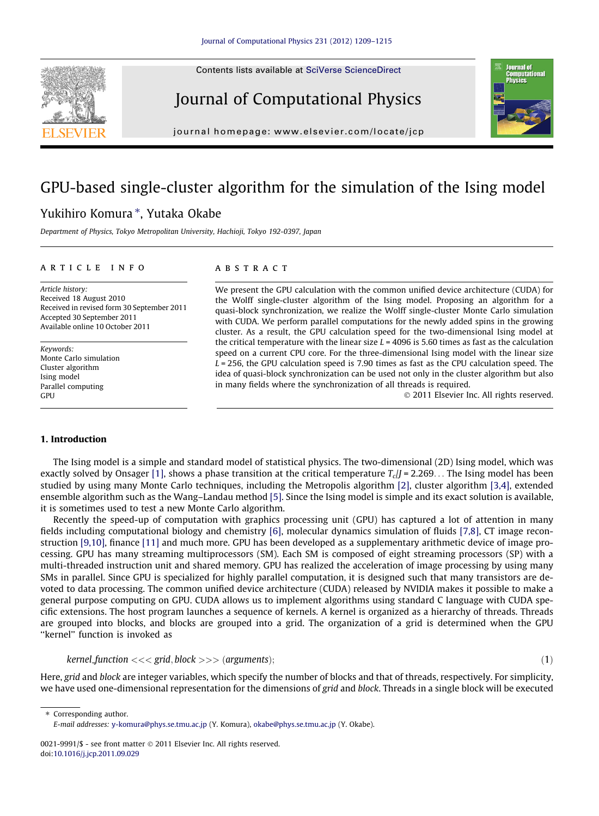Contents lists available at [SciVerse ScienceDirect](http://www.sciencedirect.com/science/journal/00219991)





Journal of Computational Physics

journal homepage: [www.elsevier.com/locate/jcp](http://www.elsevier.com/locate/jcp)

# GPU-based single-cluster algorithm for the simulation of the Ising model

### Yukihiro Komura \*, Yutaka Okabe

Department of Physics, Tokyo Metropolitan University, Hachioji, Tokyo 192-0397, Japan

#### article info

Article history: Received 18 August 2010 Received in revised form 30 September 2011 Accepted 30 September 2011 Available online 10 October 2011

Keywords: Monte Carlo simulation Cluster algorithm Ising model Parallel computing GPU

#### **ABSTRACT**

We present the GPU calculation with the common unified device architecture (CUDA) for the Wolff single-cluster algorithm of the Ising model. Proposing an algorithm for a quasi-block synchronization, we realize the Wolff single-cluster Monte Carlo simulation with CUDA. We perform parallel computations for the newly added spins in the growing cluster. As a result, the GPU calculation speed for the two-dimensional Ising model at the critical temperature with the linear size  $L = 4096$  is 5.60 times as fast as the calculation speed on a current CPU core. For the three-dimensional Ising model with the linear size  $L = 256$ , the GPU calculation speed is 7.90 times as fast as the CPU calculation speed. The idea of quasi-block synchronization can be used not only in the cluster algorithm but also in many fields where the synchronization of all threads is required.

- 2011 Elsevier Inc. All rights reserved.

#### 1. Introduction

The Ising model is a simple and standard model of statistical physics. The two-dimensional (2D) Ising model, which was exactly solved by Onsager [\[1\],](#page--1-0) shows a phase transition at the critical temperature  $T_c/I = 2.269...$  The Ising model has been studied by using many Monte Carlo techniques, including the Metropolis algorithm [\[2\]](#page--1-0), cluster algorithm [\[3,4\]](#page--1-0), extended ensemble algorithm such as the Wang–Landau method [\[5\]](#page--1-0). Since the Ising model is simple and its exact solution is available, it is sometimes used to test a new Monte Carlo algorithm.

Recently the speed-up of computation with graphics processing unit (GPU) has captured a lot of attention in many fields including computational biology and chemistry [\[6\],](#page--1-0) molecular dynamics simulation of fluids [\[7,8\]](#page--1-0), CT image reconstruction [\[9,10\]](#page--1-0), finance [\[11\]](#page--1-0) and much more. GPU has been developed as a supplementary arithmetic device of image processing. GPU has many streaming multiprocessors (SM). Each SM is composed of eight streaming processors (SP) with a multi-threaded instruction unit and shared memory. GPU has realized the acceleration of image processing by using many SMs in parallel. Since GPU is specialized for highly parallel computation, it is designed such that many transistors are devoted to data processing. The common unified device architecture (CUDA) released by NVIDIA makes it possible to make a general purpose computing on GPU. CUDA allows us to implement algorithms using standard C language with CUDA specific extensions. The host program launches a sequence of kernels. A kernel is organized as a hierarchy of threads. Threads are grouped into blocks, and blocks are grouped into a grid. The organization of a grid is determined when the GPU ''kernel'' function is invoked as

 $k$ ernel function  $<<$  grid, block  $>>$   $($  arguments $)$ ;  $(1)$ 

Here, grid and block are integer variables, which specify the number of blocks and that of threads, respectively. For simplicity, we have used one-dimensional representation for the dimensions of grid and block. Threads in a single block will be executed

⇑ Corresponding author. E-mail addresses: [y-komura@phys.se.tmu.ac.jp](mailto:y-komura@phys.se.tmu.ac.jp) (Y. Komura), [okabe@phys.se.tmu.ac.jp](mailto:okabe@phys.se.tmu.ac.jp) (Y. Okabe).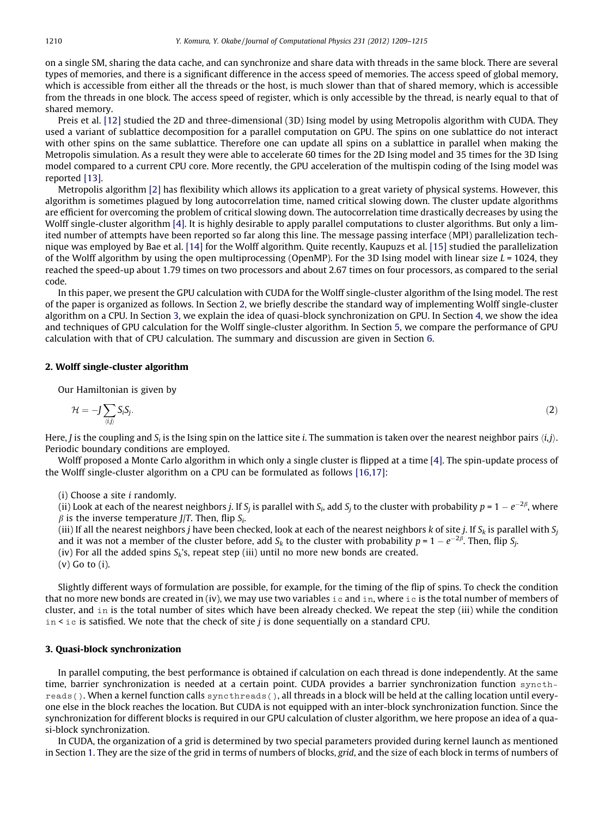on a single SM, sharing the data cache, and can synchronize and share data with threads in the same block. There are several types of memories, and there is a significant difference in the access speed of memories. The access speed of global memory, which is accessible from either all the threads or the host, is much slower than that of shared memory, which is accessible from the threads in one block. The access speed of register, which is only accessible by the thread, is nearly equal to that of shared memory.

Preis et al. [\[12\]](#page--1-0) studied the 2D and three-dimensional (3D) Ising model by using Metropolis algorithm with CUDA. They used a variant of sublattice decomposition for a parallel computation on GPU. The spins on one sublattice do not interact with other spins on the same sublattice. Therefore one can update all spins on a sublattice in parallel when making the Metropolis simulation. As a result they were able to accelerate 60 times for the 2D Ising model and 35 times for the 3D Ising model compared to a current CPU core. More recently, the GPU acceleration of the multispin coding of the Ising model was reported [\[13\].](#page--1-0)

Metropolis algorithm [\[2\]](#page--1-0) has flexibility which allows its application to a great variety of physical systems. However, this algorithm is sometimes plagued by long autocorrelation time, named critical slowing down. The cluster update algorithms are efficient for overcoming the problem of critical slowing down. The autocorrelation time drastically decreases by using the Wolff single-cluster algorithm [\[4\].](#page--1-0) It is highly desirable to apply parallel computations to cluster algorithms. But only a limited number of attempts have been reported so far along this line. The message passing interface (MPI) parallelization technique was employed by Bae et al. [\[14\]](#page--1-0) for the Wolff algorithm. Quite recently, Kaupuzs et al. [\[15\]](#page--1-0) studied the parallelization of the Wolff algorithm by using the open multiprocessing (OpenMP). For the 3D Ising model with linear size  $L = 1024$ , they reached the speed-up about 1.79 times on two processors and about 2.67 times on four processors, as compared to the serial code.

In this paper, we present the GPU calculation with CUDA for the Wolff single-cluster algorithm of the Ising model. The rest of the paper is organized as follows. In Section 2, we briefly describe the standard way of implementing Wolff single-cluster algorithm on a CPU. In Section 3, we explain the idea of quasi-block synchronization on GPU. In Section 4, we show the idea and techniques of GPU calculation for the Wolff single-cluster algorithm. In Section 5, we compare the performance of GPU calculation with that of CPU calculation. The summary and discussion are given in Section 6.

#### 2. Wolff single-cluster algorithm

Our Hamiltonian is given by

$$
\mathcal{H} = -J \sum_{\langle i,j \rangle} S_i S_j. \tag{2}
$$

Here, *J* is the coupling and  $S_i$  is the Ising spin on the lattice site *i*. The summation is taken over the nearest neighbor pairs  $\langle i,j \rangle$ . Periodic boundary conditions are employed.

Wolff proposed a Monte Carlo algorithm in which only a single cluster is flipped at a time [\[4\]](#page--1-0). The spin-update process of the Wolff single-cluster algorithm on a CPU can be formulated as follows [\[16,17\]](#page--1-0):

 $(i)$  Choose a site *i* randomly.

(ii) Look at each of the nearest neighbors j. If  $S_j$  is parallel with  $S_i$ , add  $S_j$  to the cluster with probability  $p$  = 1  $-$  e $^{-2\beta}$ , where  $\beta$  is the inverse temperature *J*/T. Then, flip *S<sub>i</sub>*.

(iii) If all the nearest neighbors j have been checked, look at each of the nearest neighbors k of site j. If  $S_k$  is parallel with  $S_i$ and it was not a member of the cluster before, add S<sub>k</sub> to the cluster with probability  $p = 1 - e^{-2\beta}$ . Then, flip S<sub>j</sub>.

(iv) For all the added spins  $S_k$ 's, repeat step (iii) until no more new bonds are created.

(v) Go to (i).

Slightly different ways of formulation are possible, for example, for the timing of the flip of spins. To check the condition that no more new bonds are created in (iv), we may use two variables ic and in, where ic is the total number of members of cluster, and in is the total number of sites which have been already checked. We repeat the step (iii) while the condition  $in < i$  c is satisfied. We note that the check of site *j* is done sequentially on a standard CPU.

#### 3. Quasi-block synchronization

In parallel computing, the best performance is obtained if calculation on each thread is done independently. At the same time, barrier synchronization is needed at a certain point. CUDA provides a barrier synchronization function syncthreads(). When a kernel function calls syncthreads(), all threads in a block will be held at the calling location until everyone else in the block reaches the location. But CUDA is not equipped with an inter-block synchronization function. Since the synchronization for different blocks is required in our GPU calculation of cluster algorithm, we here propose an idea of a quasi-block synchronization.

In CUDA, the organization of a grid is determined by two special parameters provided during kernel launch as mentioned in Section 1. They are the size of the grid in terms of numbers of blocks, grid, and the size of each block in terms of numbers of